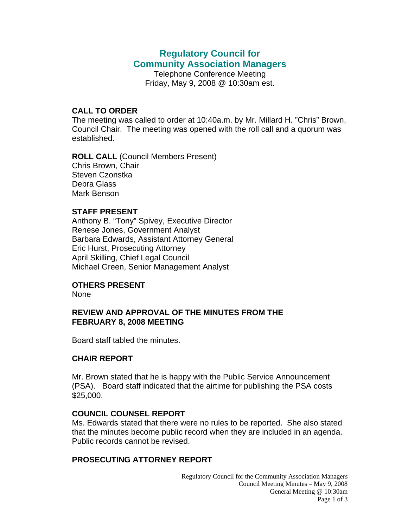# **Regulatory Council for Community Association Managers**

Telephone Conference Meeting Friday, May 9, 2008 @ 10:30am est.

#### **CALL TO ORDER**

The meeting was called to order at 10:40a.m. by Mr. Millard H. "Chris" Brown, Council Chair. The meeting was opened with the roll call and a quorum was established.

**ROLL CALL** (Council Members Present) Chris Brown, Chair Steven Czonstka Debra Glass Mark Benson

#### **STAFF PRESENT**

Anthony B. "Tony" Spivey, Executive Director Renese Jones, Government Analyst Barbara Edwards, Assistant Attorney General Eric Hurst, Prosecuting Attorney April Skilling, Chief Legal Council Michael Green, Senior Management Analyst

## **OTHERS PRESENT**

None

## **REVIEW AND APPROVAL OF THE MINUTES FROM THE FEBRUARY 8, 2008 MEETING**

Board staff tabled the minutes.

### **CHAIR REPORT**

Mr. Brown stated that he is happy with the Public Service Announcement (PSA). Board staff indicated that the airtime for publishing the PSA costs \$25,000.

### **COUNCIL COUNSEL REPORT**

Ms. Edwards stated that there were no rules to be reported. She also stated that the minutes become public record when they are included in an agenda. Public records cannot be revised.

## **PROSECUTING ATTORNEY REPORT**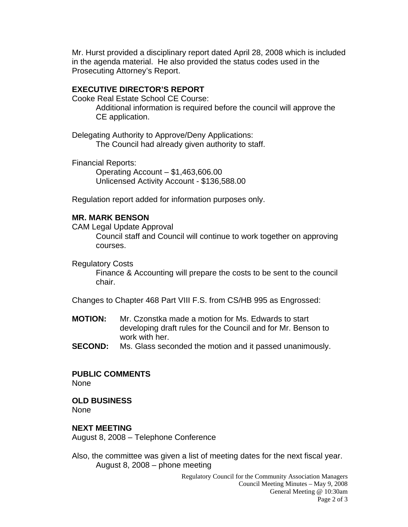Mr. Hurst provided a disciplinary report dated April 28, 2008 which is included in the agenda material. He also provided the status codes used in the Prosecuting Attorney's Report.

## **EXECUTIVE DIRECTOR'S REPORT**

Cooke Real Estate School CE Course:

 Additional information is required before the council will approve the CE application.

Delegating Authority to Approve/Deny Applications: The Council had already given authority to staff.

Financial Reports:

 Operating Account – \$1,463,606.00 Unlicensed Activity Account - \$136,588.00

Regulation report added for information purposes only.

## **MR. MARK BENSON**

CAM Legal Update Approval

 Council staff and Council will continue to work together on approving courses.

Regulatory Costs

 Finance & Accounting will prepare the costs to be sent to the council chair.

Changes to Chapter 468 Part VIII F.S. from CS/HB 995 as Engrossed:

- **MOTION:** Mr. Czonstka made a motion for Ms. Edwards to start developing draft rules for the Council and for Mr. Benson to work with her.
- **SECOND:** Ms. Glass seconded the motion and it passed unanimously.

# **PUBLIC COMMENTS**

None

### **OLD BUSINESS**

None

## **NEXT MEETING**

August 8, 2008 – Telephone Conference

Also, the committee was given a list of meeting dates for the next fiscal year. August 8, 2008 – phone meeting